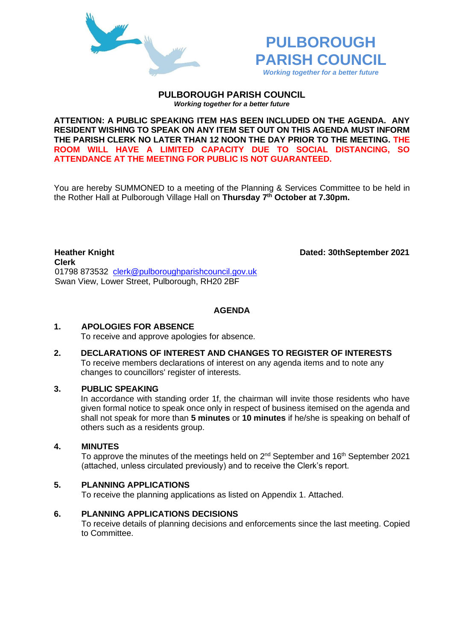



#### **PULBOROUGH PARISH COUNCIL** *Working together for a better future*

**ATTENTION: A PUBLIC SPEAKING ITEM HAS BEEN INCLUDED ON THE AGENDA. ANY RESIDENT WISHING TO SPEAK ON ANY ITEM SET OUT ON THIS AGENDA MUST INFORM THE PARISH CLERK NO LATER THAN 12 NOON THE DAY PRIOR TO THE MEETING. THE ROOM WILL HAVE A LIMITED CAPACITY DUE TO SOCIAL DISTANCING, SO ATTENDANCE AT THE MEETING FOR PUBLIC IS NOT GUARANTEED.**

You are hereby SUMMONED to a meeting of the Planning & Services Committee to be held in the Rother Hall at Pulborough Village Hall on **Thursday 7 th October at 7.30pm.** 

**Heather Knight Dated: 30thSeptember 2021 Clerk**  01798 873532 [clerk@pulboroughparishcouncil.gov.uk](mailto:clerk@pulboroughparishcouncil.gov.uk) Swan View, Lower Street, Pulborough, RH20 2BF

## **AGENDA**

### **1. APOLOGIES FOR ABSENCE**

To receive and approve apologies for absence.

**2. DECLARATIONS OF INTEREST AND CHANGES TO REGISTER OF INTERESTS** To receive members declarations of interest on any agenda items and to note any changes to councillors' register of interests.

### **3. PUBLIC SPEAKING**

In accordance with standing order 1f, the chairman will invite those residents who have given formal notice to speak once only in respect of business itemised on the agenda and shall not speak for more than **5 minutes** or **10 minutes** if he/she is speaking on behalf of others such as a residents group.

### **4. MINUTES**

To approve the minutes of the meetings held on  $2^{nd}$  September and 16<sup>th</sup> September 2021 (attached, unless circulated previously) and to receive the Clerk's report.

### **5. PLANNING APPLICATIONS**

To receive the planning applications as listed on Appendix 1. Attached.

### **6. PLANNING APPLICATIONS DECISIONS**

To receive details of planning decisions and enforcements since the last meeting. Copied to Committee.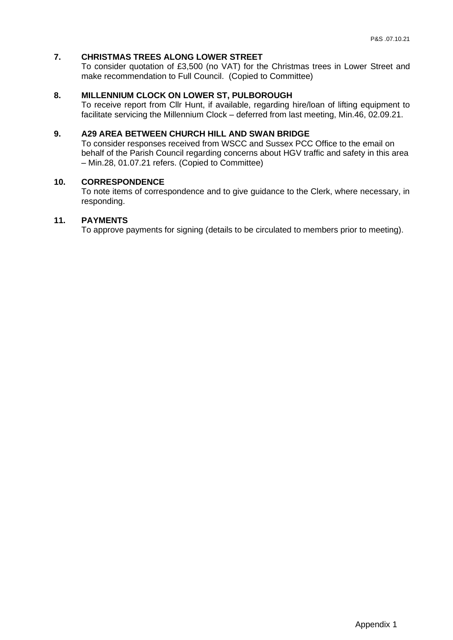## **7. CHRISTMAS TREES ALONG LOWER STREET**

To consider quotation of £3,500 (no VAT) for the Christmas trees in Lower Street and make recommendation to Full Council. (Copied to Committee)

# **8. MILLENNIUM CLOCK ON LOWER ST, PULBOROUGH**

To receive report from Cllr Hunt, if available, regarding hire/loan of lifting equipment to facilitate servicing the Millennium Clock – deferred from last meeting, Min.46, 02.09.21.

## **9. A29 AREA BETWEEN CHURCH HILL AND SWAN BRIDGE**

To consider responses received from WSCC and Sussex PCC Office to the email on behalf of the Parish Council regarding concerns about HGV traffic and safety in this area – Min.28, 01.07.21 refers. (Copied to Committee)

### **10. CORRESPONDENCE**

To note items of correspondence and to give guidance to the Clerk, where necessary, in responding.

## **11. PAYMENTS**

To approve payments for signing (details to be circulated to members prior to meeting).